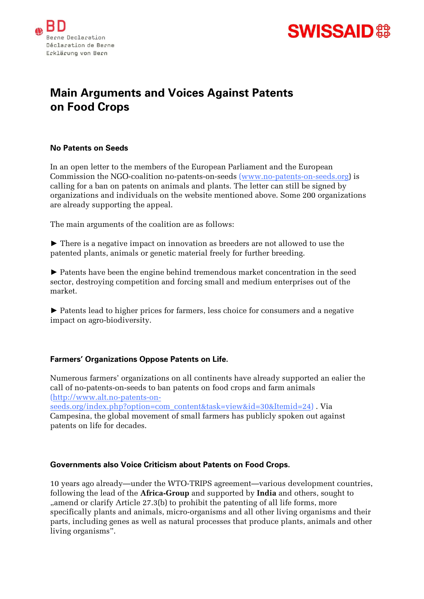



# **Main Arguments and Voices Against Patents on Food Crops**

### **No Patents on Seeds**

In an open letter to the members of the European Parliament and the European Commission the NGO-coalition no-patents-on-seeds (www.no-patents-on-seeds.org) is calling for a ban on patents on animals and plants. The letter can still be signed by organizations and individuals on the website mentioned above. Some 200 organizations are already supporting the appeal.

The main arguments of the coalition are as follows:

► There is a negative impact on innovation as breeders are not allowed to use the patented plants, animals or genetic material freely for further breeding.

► Patents have been the engine behind tremendous market concentration in the seed sector, destroying competition and forcing small and medium enterprises out of the market.

► Patents lead to higher prices for farmers, less choice for consumers and a negative impact on agro-biodiversity.

# **Farmers' Organizations Oppose Patents on Life.**

Numerous farmers' organizations on all continents have already supported an ealier the call of no-patents-on-seeds to ban patents on food crops and farm animals (http://www.alt.no-patents-on-

seeds.org/index.php?option=com\_content&task=view&id=30&Itemid=24) . Via Campesina, the global movement of small farmers has publicly spoken out against patents on life for decades.

#### **Governments also Voice Criticism about Patents on Food Crops.**

10 years ago already—under the WTO-TRIPS agreement—various development countries, following the lead of the **Africa-Group** and supported by **India** and others, sought to "amend or clarify Article 27.3(b) to prohibit the patenting of all life forms, more specifically plants and animals, micro-organisms and all other living organisms and their parts, including genes as well as natural processes that produce plants, animals and other living organisms".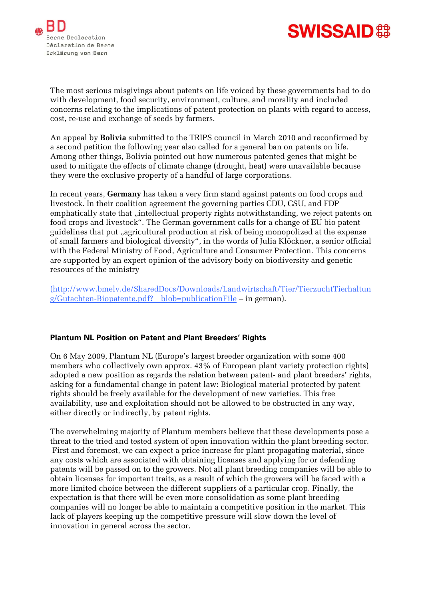



The most serious misgivings about patents on life voiced by these governments had to do with development, food security, environment, culture, and morality and included concerns relating to the implications of patent protection on plants with regard to access, cost, re-use and exchange of seeds by farmers.

An appeal by **Bolivia** submitted to the TRIPS council in March 2010 and reconfirmed by a second petition the following year also called for a general ban on patents on life. Among other things, Bolivia pointed out how numerous patented genes that might be used to mitigate the effects of climate change (drought, heat) were unavailable because they were the exclusive property of a handful of large corporations.

In recent years, **Germany** has taken a very firm stand against patents on food crops and livestock. In their coalition agreement the governing parties CDU, CSU, and FDP emphatically state that "intellectual property rights notwithstanding, we reject patents on food crops and livestock". The German government calls for a change of EU bio patent guidelines that put "agricultural production at risk of being monopolized at the expense of small farmers and biological diversity", in the words of Julia Klöckner, a senior official with the Federal Ministry of Food, Agriculture and Consumer Protection. This concerns are supported by an expert opinion of the advisory body on biodiversity and genetic resources of the ministry

(http://www.bmelv.de/SharedDocs/Downloads/Landwirtschaft/Tier/TierzuchtTierhaltun g/Gutachten-Biopatente.pdf?\_\_blob=publicationFile – in german).

# **Plantum NL Position on Patent and Plant Breeders' Rights**

On 6 May 2009, Plantum NL (Europe's largest breeder organization with some 400 members who collectively own approx. 43% of European plant variety protection rights) adopted a new position as regards the relation between patent- and plant breeders' rights, asking for a fundamental change in patent law: Biological material protected by patent rights should be freely available for the development of new varieties. This free availability, use and exploitation should not be allowed to be obstructed in any way, either directly or indirectly, by patent rights.

The overwhelming majority of Plantum members believe that these developments pose a threat to the tried and tested system of open innovation within the plant breeding sector. First and foremost, we can expect a price increase for plant propagating material, since any costs which are associated with obtaining licenses and applying for or defending patents will be passed on to the growers. Not all plant breeding companies will be able to obtain licenses for important traits, as a result of which the growers will be faced with a more limited choice between the different suppliers of a particular crop. Finally, the expectation is that there will be even more consolidation as some plant breeding companies will no longer be able to maintain a competitive position in the market. This lack of players keeping up the competitive pressure will slow down the level of innovation in general across the sector.